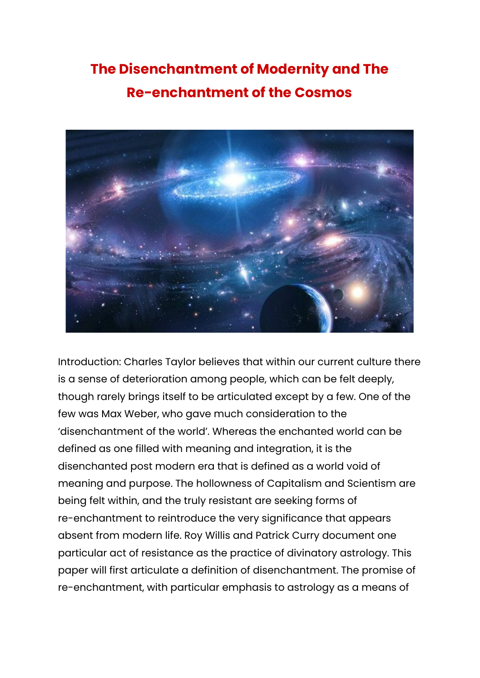# **The Disenchantment of Modernity and The Re-enchantment of the Cosmos**



Introduction: Charles Taylor believes that within our current culture there is a sense of deterioration among people, which can be felt deeply, though rarely brings itself to be articulated except by a few. One of the few was Max Weber, who gave much consideration to the 'disenchantment of the world'. Whereas the enchanted world can be defined as one filled with meaning and integration, it is the disenchanted post modern era that is defined as a world void of meaning and purpose. The hollowness of Capitalism and Scientism are being felt within, and the truly resistant are seeking forms of re-enchantment to reintroduce the very significance that appears absent from modern life. Roy Willis and Patrick Curry document one particular act of resistance as the practice of divinatory astrology. This paper will first articulate a definition of disenchantment. The promise of re-enchantment, with particular emphasis to astrology as a means of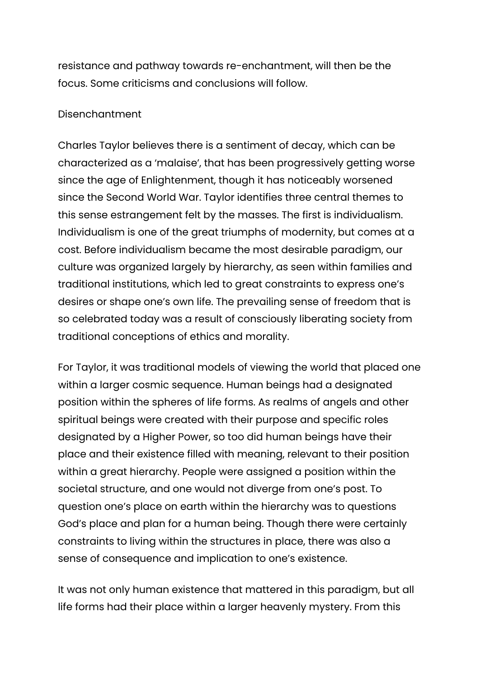resistance and pathway towards re-enchantment, will then be the focus. Some criticisms and conclusions will follow.

### Disenchantment

Charles Taylor believes there is a sentiment of decay, which can be characterized as a 'malaise', that has been progressively getting worse since the age of Enlightenment, though it has noticeably worsened since the Second World War. Taylor identifies three central themes to this sense estrangement felt by the masses. The first is individualism. Individualism is one of the great triumphs of modernity, but comes at a cost. Before individualism became the most desirable paradigm, our culture was organized largely by hierarchy, as seen within families and traditional institutions, which led to great constraints to express one's desires or shape one's own life. The prevailing sense of freedom that is so celebrated today was a result of consciously liberating society from traditional conceptions of ethics and morality.

For Taylor, it was traditional models of viewing the world that placed one within a larger cosmic sequence. Human beings had a designated position within the spheres of life forms. As realms of angels and other spiritual beings were created with their purpose and specific roles designated by a Higher Power, so too did human beings have their place and their existence filled with meaning, relevant to their position within a great hierarchy. People were assigned a position within the societal structure, and one would not diverge from one's post. To question one's place on earth within the hierarchy was to questions God's place and plan for a human being. Though there were certainly constraints to living within the structures in place, there was also a sense of consequence and implication to one's existence.

It was not only human existence that mattered in this paradigm, but all life forms had their place within a larger heavenly mystery. From this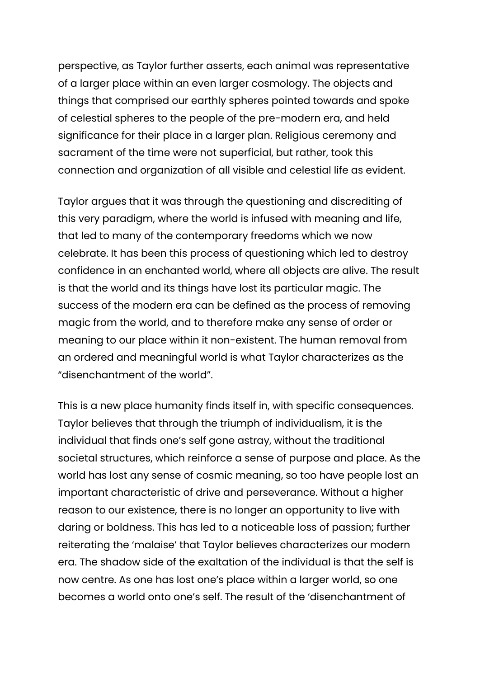perspective, as Taylor further asserts, each animal was representative of a larger place within an even larger cosmology. The objects and things that comprised our earthly spheres pointed towards and spoke of celestial spheres to the people of the pre-modern era, and held significance for their place in a larger plan. Religious ceremony and sacrament of the time were not superficial, but rather, took this connection and organization of all visible and celestial life as evident.

Taylor argues that it was through the questioning and discrediting of this very paradigm, where the world is infused with meaning and life, that led to many of the contemporary freedoms which we now celebrate. It has been this process of questioning which led to destroy confidence in an enchanted world, where all objects are alive. The result is that the world and its things have lost its particular magic. The success of the modern era can be defined as the process of removing magic from the world, and to therefore make any sense of order or meaning to our place within it non-existent. The human removal from an ordered and meaningful world is what Taylor characterizes as the "disenchantment of the world".

This is a new place humanity finds itself in, with specific consequences. Taylor believes that through the triumph of individualism, it is the individual that finds one's self gone astray, without the traditional societal structures, which reinforce a sense of purpose and place. As the world has lost any sense of cosmic meaning, so too have people lost an important characteristic of drive and perseverance. Without a higher reason to our existence, there is no longer an opportunity to live with daring or boldness. This has led to a noticeable loss of passion; further reiterating the 'malaise' that Taylor believes characterizes our modern era. The shadow side of the exaltation of the individual is that the self is now centre. As one has lost one's place within a larger world, so one becomes a world onto one's self. The result of the 'disenchantment of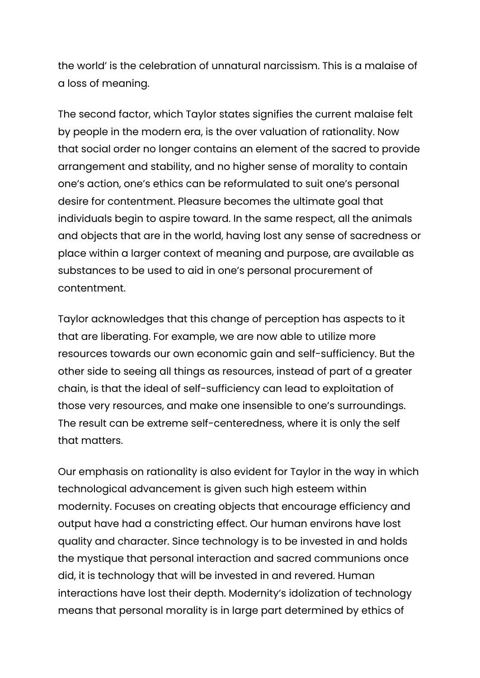the world' is the celebration of unnatural narcissism. This is a malaise of a loss of meaning.

The second factor, which Taylor states signifies the current malaise felt by people in the modern era, is the over valuation of rationality. Now that social order no longer contains an element of the sacred to provide arrangement and stability, and no higher sense of morality to contain one's action, one's ethics can be reformulated to suit one's personal desire for contentment. Pleasure becomes the ultimate goal that individuals begin to aspire toward. In the same respect, all the animals and objects that are in the world, having lost any sense of sacredness or place within a larger context of meaning and purpose, are available as substances to be used to aid in one's personal procurement of contentment.

Taylor acknowledges that this change of perception has aspects to it that are liberating. For example, we are now able to utilize more resources towards our own economic gain and self-sufficiency. But the other side to seeing all things as resources, instead of part of a greater chain, is that the ideal of self-sufficiency can lead to exploitation of those very resources, and make one insensible to one's surroundings. The result can be extreme self-centeredness, where it is only the self that matters.

Our emphasis on rationality is also evident for Taylor in the way in which technological advancement is given such high esteem within modernity. Focuses on creating objects that encourage efficiency and output have had a constricting effect. Our human environs have lost quality and character. Since technology is to be invested in and holds the mystique that personal interaction and sacred communions once did, it is technology that will be invested in and revered. Human interactions have lost their depth. Modernity's idolization of technology means that personal morality is in large part determined by ethics of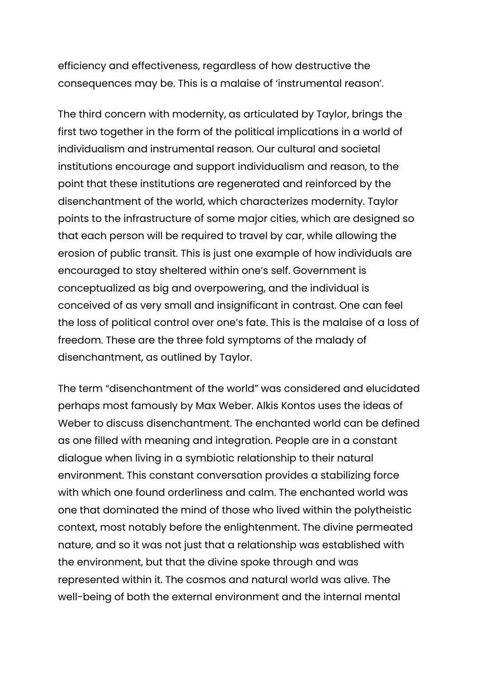efficiency and effectiveness, regardless of how destructive the consequences may be. This is a malaise of 'instrumental reason'.

The third concern with modernity, as articulated by Taylor, brings the first two together in the form of the political implications in a world of individualism and instrumental reason. Our cultural and societal institutions encourage and support individualism and reason, to the point that these institutions are regenerated and reinforced by the disenchantment of the world, which characterizes modernity. Taylor points to the infrastructure of some major cities, which are designed so that each person will be required to travel by car, while allowing the erosion of public transit. This is just one example of how individuals are encouraged to stay sheltered within one's self. Government is conceptualized as big and overpowering, and the individual is conceived of as very small and insignificant in contrast. One can feel the loss of political control over one's fate. This is the malaise of a loss of freedom. These are the three fold symptoms of the malady of disenchantment, as outlined by Taylor.

The term "disenchantment of the world" was considered and elucidated perhaps most famously by Max Weber. Alkis Kontos uses the ideas of Weber to discuss disenchantment. The enchanted world can be defined as one filled with meaning and integration. People are in a constant dialogue when living in a symbiotic relationship to their natural environment. This constant conversation provides a stabilizing force with which one found orderliness and calm. The enchanted world was one that dominated the mind of those who lived within the polytheistic context, most notably before the enlightenment. The divine permeated nature, and so it was not just that a relationship was established with the environment, but that the divine spoke through and was represented within it. The cosmos and natural world was alive. The well-being of both the external environment and the internal mental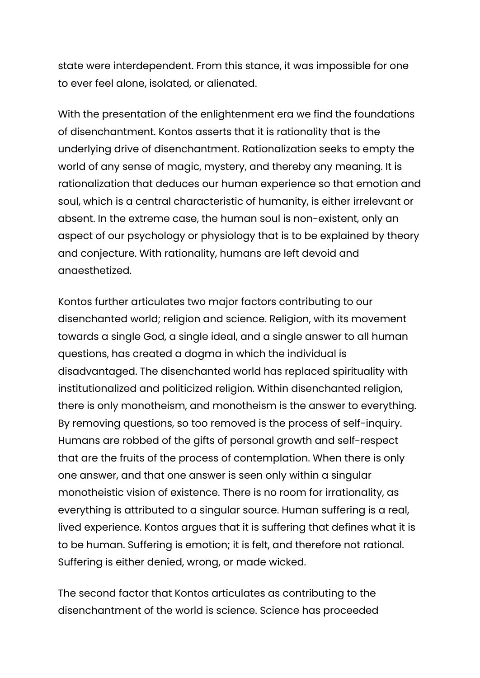state were interdependent. From this stance, it was impossible for one to ever feel alone, isolated, or alienated.

With the presentation of the enlightenment era we find the foundations of disenchantment. Kontos asserts that it is rationality that is the underlying drive of disenchantment. Rationalization seeks to empty the world of any sense of magic, mystery, and thereby any meaning. It is rationalization that deduces our human experience so that emotion and soul, which is a central characteristic of humanity, is either irrelevant or absent. In the extreme case, the human soul is non-existent, only an aspect of our psychology or physiology that is to be explained by theory and conjecture. With rationality, humans are left devoid and anaesthetized.

Kontos further articulates two major factors contributing to our disenchanted world; religion and science. Religion, with its movement towards a single God, a single ideal, and a single answer to all human questions, has created a dogma in which the individual is disadvantaged. The disenchanted world has replaced spirituality with institutionalized and politicized religion. Within disenchanted religion, there is only monotheism, and monotheism is the answer to everything. By removing questions, so too removed is the process of self-inquiry. Humans are robbed of the gifts of personal growth and self-respect that are the fruits of the process of contemplation. When there is only one answer, and that one answer is seen only within a singular monotheistic vision of existence. There is no room for irrationality, as everything is attributed to a singular source. Human suffering is a real, lived experience. Kontos argues that it is suffering that defines what it is to be human. Suffering is emotion; it is felt, and therefore not rational. Suffering is either denied, wrong, or made wicked.

The second factor that Kontos articulates as contributing to the disenchantment of the world is science. Science has proceeded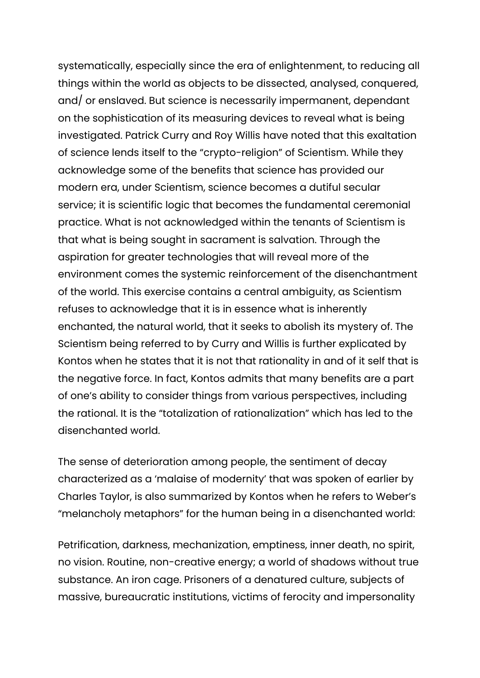systematically, especially since the era of enlightenment, to reducing all things within the world as objects to be dissected, analysed, conquered, and/ or enslaved. But science is necessarily impermanent, dependant on the sophistication of its measuring devices to reveal what is being investigated. Patrick Curry and Roy Willis have noted that this exaltation of science lends itself to the "crypto-religion" of Scientism. While they acknowledge some of the benefits that science has provided our modern era, under Scientism, science becomes a dutiful secular service; it is scientific logic that becomes the fundamental ceremonial practice. What is not acknowledged within the tenants of Scientism is that what is being sought in sacrament is salvation. Through the aspiration for greater technologies that will reveal more of the environment comes the systemic reinforcement of the disenchantment of the world. This exercise contains a central ambiguity, as Scientism refuses to acknowledge that it is in essence what is inherently enchanted, the natural world, that it seeks to abolish its mystery of. The Scientism being referred to by Curry and Willis is further explicated by Kontos when he states that it is not that rationality in and of it self that is the negative force. In fact, Kontos admits that many benefits are a part of one's ability to consider things from various perspectives, including the rational. It is the "totalization of rationalization" which has led to the disenchanted world.

The sense of deterioration among people, the sentiment of decay characterized as a 'malaise of modernity' that was spoken of earlier by Charles Taylor, is also summarized by Kontos when he refers to Weber's "melancholy metaphors" for the human being in a disenchanted world:

Petrification, darkness, mechanization, emptiness, inner death, no spirit, no vision. Routine, non-creative energy; a world of shadows without true substance. An iron cage. Prisoners of a denatured culture, subjects of massive, bureaucratic institutions, victims of ferocity and impersonality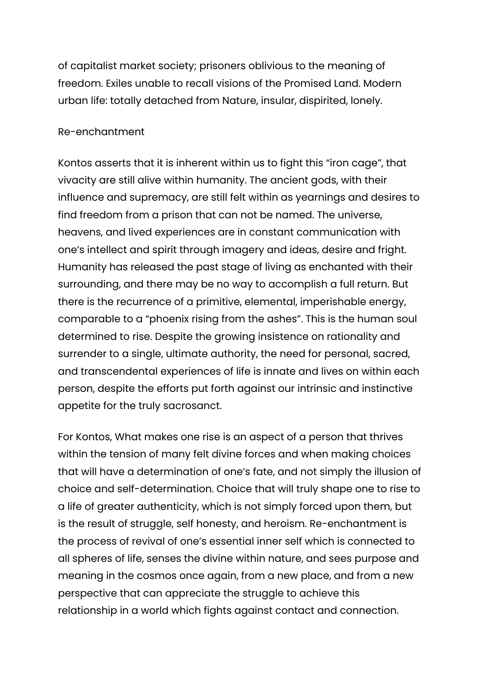of capitalist market society; prisoners oblivious to the meaning of freedom. Exiles unable to recall visions of the Promised Land. Modern urban life: totally detached from Nature, insular, dispirited, lonely.

#### Re-enchantment

Kontos asserts that it is inherent within us to fight this "iron cage", that vivacity are still alive within humanity. The ancient gods, with their influence and supremacy, are still felt within as yearnings and desires to find freedom from a prison that can not be named. The universe, heavens, and lived experiences are in constant communication with one's intellect and spirit through imagery and ideas, desire and fright. Humanity has released the past stage of living as enchanted with their surrounding, and there may be no way to accomplish a full return. But there is the recurrence of a primitive, elemental, imperishable energy, comparable to a "phoenix rising from the ashes". This is the human soul determined to rise. Despite the growing insistence on rationality and surrender to a single, ultimate authority, the need for personal, sacred, and transcendental experiences of life is innate and lives on within each person, despite the efforts put forth against our intrinsic and instinctive appetite for the truly sacrosanct.

For Kontos, What makes one rise is an aspect of a person that thrives within the tension of many felt divine forces and when making choices that will have a determination of one's fate, and not simply the illusion of choice and self-determination. Choice that will truly shape one to rise to a life of greater authenticity, which is not simply forced upon them, but is the result of struggle, self honesty, and heroism. Re-enchantment is the process of revival of one's essential inner self which is connected to all spheres of life, senses the divine within nature, and sees purpose and meaning in the cosmos once again, from a new place, and from a new perspective that can appreciate the struggle to achieve this relationship in a world which fights against contact and connection.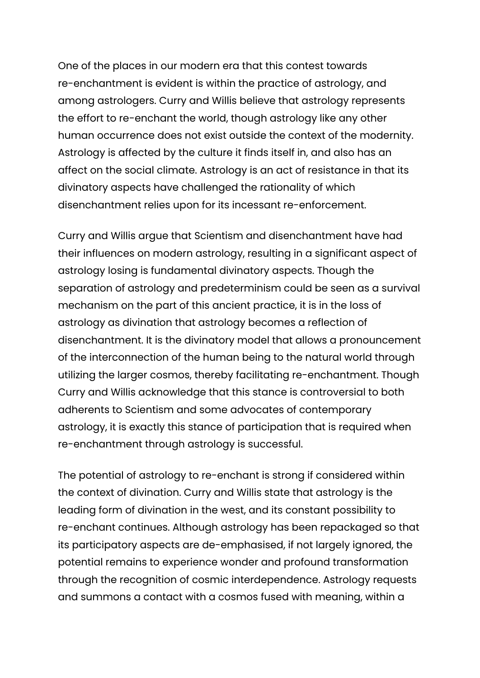One of the places in our modern era that this contest towards re-enchantment is evident is within the practice of astrology, and among astrologers. Curry and Willis believe that astrology represents the effort to re-enchant the world, though astrology like any other human occurrence does not exist outside the context of the modernity. Astrology is affected by the culture it finds itself in, and also has an affect on the social climate. Astrology is an act of resistance in that its divinatory aspects have challenged the rationality of which disenchantment relies upon for its incessant re-enforcement.

Curry and Willis argue that Scientism and disenchantment have had their influences on modern astrology, resulting in a significant aspect of astrology losing is fundamental divinatory aspects. Though the separation of astrology and predeterminism could be seen as a survival mechanism on the part of this ancient practice, it is in the loss of astrology as divination that astrology becomes a reflection of disenchantment. It is the divinatory model that allows a pronouncement of the interconnection of the human being to the natural world through utilizing the larger cosmos, thereby facilitating re-enchantment. Though Curry and Willis acknowledge that this stance is controversial to both adherents to Scientism and some advocates of contemporary astrology, it is exactly this stance of participation that is required when re-enchantment through astrology is successful.

The potential of astrology to re-enchant is strong if considered within the context of divination. Curry and Willis state that astrology is the leading form of divination in the west, and its constant possibility to re-enchant continues. Although astrology has been repackaged so that its participatory aspects are de-emphasised, if not largely ignored, the potential remains to experience wonder and profound transformation through the recognition of cosmic interdependence. Astrology requests and summons a contact with a cosmos fused with meaning, within a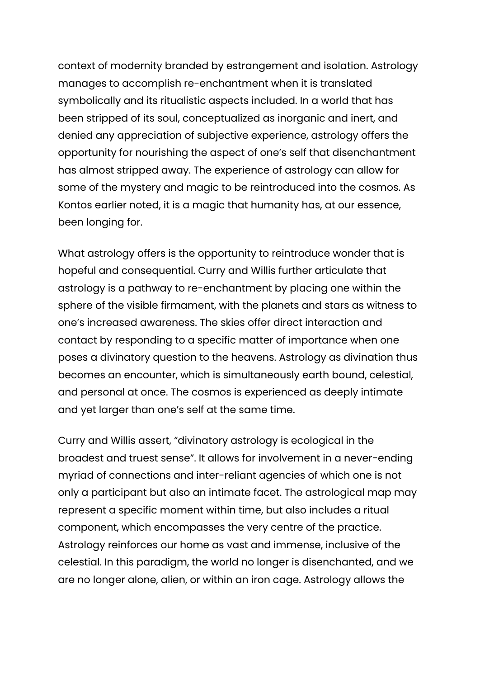context of modernity branded by estrangement and isolation. Astrology manages to accomplish re-enchantment when it is translated symbolically and its ritualistic aspects included. In a world that has been stripped of its soul, conceptualized as inorganic and inert, and denied any appreciation of subjective experience, astrology offers the opportunity for nourishing the aspect of one's self that disenchantment has almost stripped away. The experience of astrology can allow for some of the mystery and magic to be reintroduced into the cosmos. As Kontos earlier noted, it is a magic that humanity has, at our essence, been longing for.

What astrology offers is the opportunity to reintroduce wonder that is hopeful and consequential. Curry and Willis further articulate that astrology is a pathway to re-enchantment by placing one within the sphere of the visible firmament, with the planets and stars as witness to one's increased awareness. The skies offer direct interaction and contact by responding to a specific matter of importance when one poses a divinatory question to the heavens. Astrology as divination thus becomes an encounter, which is simultaneously earth bound, celestial, and personal at once. The cosmos is experienced as deeply intimate and yet larger than one's self at the same time.

Curry and Willis assert, "divinatory astrology is ecological in the broadest and truest sense". It allows for involvement in a never-ending myriad of connections and inter-reliant agencies of which one is not only a participant but also an intimate facet. The astrological map may represent a specific moment within time, but also includes a ritual component, which encompasses the very centre of the practice. Astrology reinforces our home as vast and immense, inclusive of the celestial. In this paradigm, the world no longer is disenchanted, and we are no longer alone, alien, or within an iron cage. Astrology allows the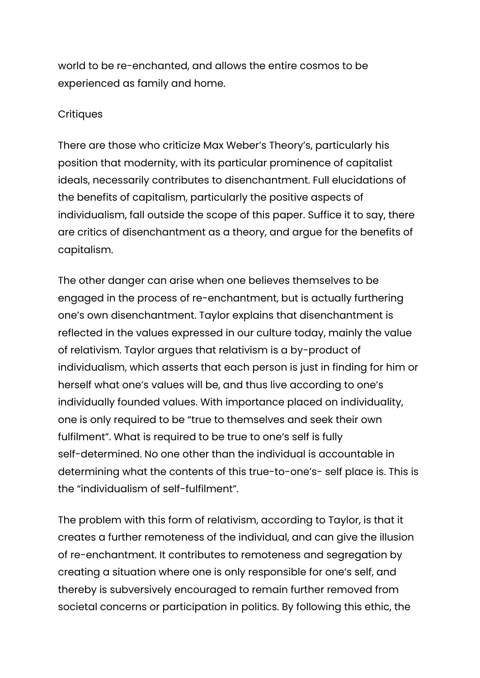world to be re-enchanted, and allows the entire cosmos to be experienced as family and home.

### **Critiques**

There are those who criticize Max Weber's Theory's, particularly his position that modernity, with its particular prominence of capitalist ideals, necessarily contributes to disenchantment. Full elucidations of the benefits of capitalism, particularly the positive aspects of individualism, fall outside the scope of this paper. Suffice it to say, there are critics of disenchantment as a theory, and argue for the benefits of capitalism.

The other danger can arise when one believes themselves to be engaged in the process of re-enchantment, but is actually furthering one's own disenchantment. Taylor explains that disenchantment is reflected in the values expressed in our culture today, mainly the value of relativism. Taylor argues that relativism is a by-product of individualism, which asserts that each person is just in finding for him or herself what one's values will be, and thus live according to one's individually founded values. With importance placed on individuality, one is only required to be "true to themselves and seek their own fulfilment". What is required to be true to one's self is fully self-determined. No one other than the individual is accountable in determining what the contents of this true-to-one's- self place is. This is the "individualism of self-fulfilment".

The problem with this form of relativism, according to Taylor, is that it creates a further remoteness of the individual, and can give the illusion of re-enchantment. It contributes to remoteness and segregation by creating a situation where one is only responsible for one's self, and thereby is subversively encouraged to remain further removed from societal concerns or participation in politics. By following this ethic, the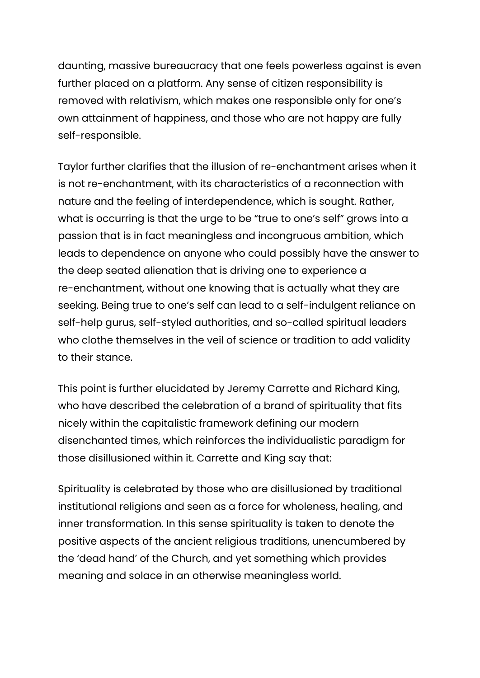daunting, massive bureaucracy that one feels powerless against is even further placed on a platform. Any sense of citizen responsibility is removed with relativism, which makes one responsible only for one's own attainment of happiness, and those who are not happy are fully self-responsible.

Taylor further clarifies that the illusion of re-enchantment arises when it is not re-enchantment, with its characteristics of a reconnection with nature and the feeling of interdependence, which is sought. Rather, what is occurring is that the urge to be "true to one's self" grows into a passion that is in fact meaningless and incongruous ambition, which leads to dependence on anyone who could possibly have the answer to the deep seated alienation that is driving one to experience a re-enchantment, without one knowing that is actually what they are seeking. Being true to one's self can lead to a self-indulgent reliance on self-help gurus, self-styled authorities, and so-called spiritual leaders who clothe themselves in the veil of science or tradition to add validity to their stance.

This point is further elucidated by Jeremy Carrette and Richard King, who have described the celebration of a brand of spirituality that fits nicely within the capitalistic framework defining our modern disenchanted times, which reinforces the individualistic paradigm for those disillusioned within it. Carrette and King say that:

Spirituality is celebrated by those who are disillusioned by traditional institutional religions and seen as a force for wholeness, healing, and inner transformation. In this sense spirituality is taken to denote the positive aspects of the ancient religious traditions, unencumbered by the 'dead hand' of the Church, and yet something which provides meaning and solace in an otherwise meaningless world.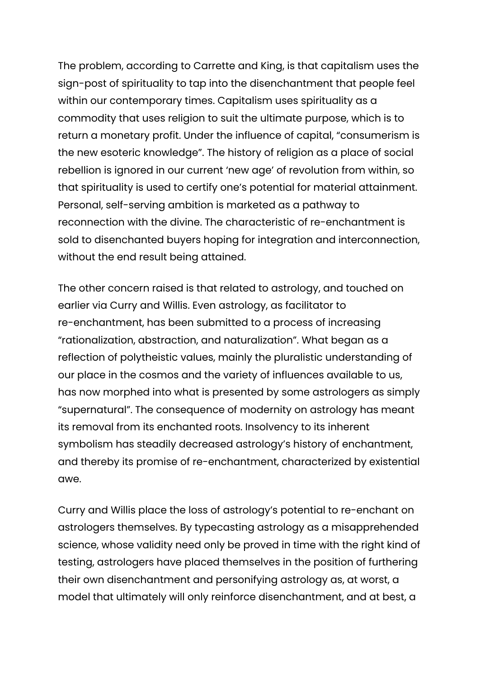The problem, according to Carrette and King, is that capitalism uses the sign-post of spirituality to tap into the disenchantment that people feel within our contemporary times. Capitalism uses spirituality as a commodity that uses religion to suit the ultimate purpose, which is to return a monetary profit. Under the influence of capital, "consumerism is the new esoteric knowledge". The history of religion as a place of social rebellion is ignored in our current 'new age' of revolution from within, so that spirituality is used to certify one's potential for material attainment. Personal, self-serving ambition is marketed as a pathway to reconnection with the divine. The characteristic of re-enchantment is sold to disenchanted buyers hoping for integration and interconnection, without the end result being attained.

The other concern raised is that related to astrology, and touched on earlier via Curry and Willis. Even astrology, as facilitator to re-enchantment, has been submitted to a process of increasing "rationalization, abstraction, and naturalization". What began as a reflection of polytheistic values, mainly the pluralistic understanding of our place in the cosmos and the variety of influences available to us, has now morphed into what is presented by some astrologers as simply "supernatural". The consequence of modernity on astrology has meant its removal from its enchanted roots. Insolvency to its inherent symbolism has steadily decreased astrology's history of enchantment, and thereby its promise of re-enchantment, characterized by existential awe.

Curry and Willis place the loss of astrology's potential to re-enchant on astrologers themselves. By typecasting astrology as a misapprehended science, whose validity need only be proved in time with the right kind of testing, astrologers have placed themselves in the position of furthering their own disenchantment and personifying astrology as, at worst, a model that ultimately will only reinforce disenchantment, and at best, a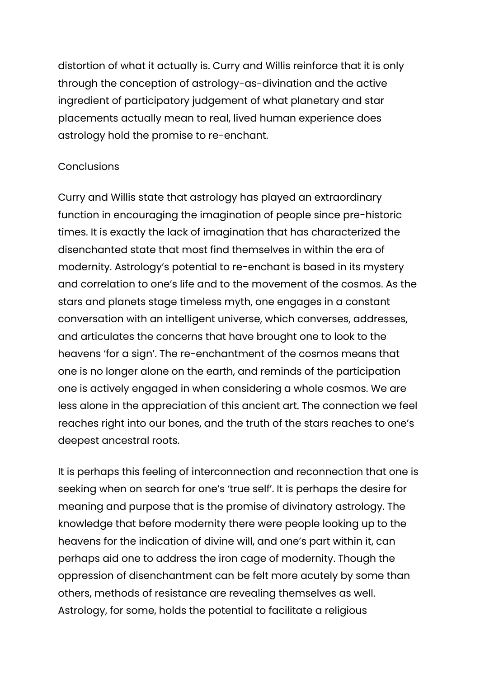distortion of what it actually is. Curry and Willis reinforce that it is only through the conception of astrology-as-divination and the active ingredient of participatory judgement of what planetary and star placements actually mean to real, lived human experience does astrology hold the promise to re-enchant.

# **Conclusions**

Curry and Willis state that astrology has played an extraordinary function in encouraging the imagination of people since pre-historic times. It is exactly the lack of imagination that has characterized the disenchanted state that most find themselves in within the era of modernity. Astrology's potential to re-enchant is based in its mystery and correlation to one's life and to the movement of the cosmos. As the stars and planets stage timeless myth, one engages in a constant conversation with an intelligent universe, which converses, addresses, and articulates the concerns that have brought one to look to the heavens 'for a sign'. The re-enchantment of the cosmos means that one is no longer alone on the earth, and reminds of the participation one is actively engaged in when considering a whole cosmos. We are less alone in the appreciation of this ancient art. The connection we feel reaches right into our bones, and the truth of the stars reaches to one's deepest ancestral roots.

It is perhaps this feeling of interconnection and reconnection that one is seeking when on search for one's 'true self'. It is perhaps the desire for meaning and purpose that is the promise of divinatory astrology. The knowledge that before modernity there were people looking up to the heavens for the indication of divine will, and one's part within it, can perhaps aid one to address the iron cage of modernity. Though the oppression of disenchantment can be felt more acutely by some than others, methods of resistance are revealing themselves as well. Astrology, for some, holds the potential to facilitate a religious